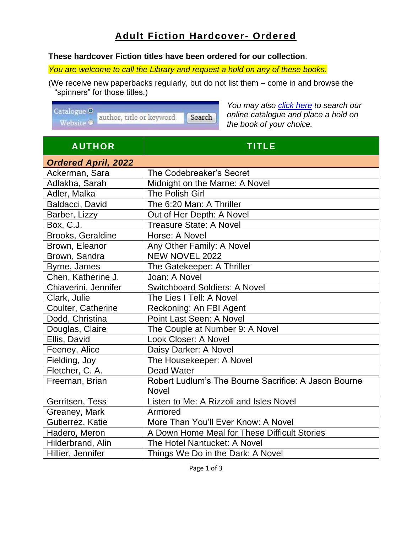## **Adult Fiction Hardcover- Ordered**

## **These hardcover Fiction titles have been ordered for our collection**.

*You are welcome to call the Library and request a hold on any of these books.* 

(We receive new paperbacks regularly, but do not list them – come in and browse the "spinners" for those titles.)

Catalogue O author, title or keyword. Search Website <sup>®</sup>

*You may also [click here](http://bvdh.bc.catalogue.libraries.coop/eg/opac/results?query=&qtype=keyword&fi%3Aitem_type=) to search our online catalogue and place a hold on the book of your choice.*

| <b>AUTHOR</b>              | <b>TITLE</b>                                         |  |  |
|----------------------------|------------------------------------------------------|--|--|
| <b>Ordered April, 2022</b> |                                                      |  |  |
| Ackerman, Sara             | The Codebreaker's Secret                             |  |  |
| Adlakha, Sarah             | Midnight on the Marne: A Novel                       |  |  |
| Adler, Malka               | <b>The Polish Girl</b>                               |  |  |
| Baldacci, David            | The 6:20 Man: A Thriller                             |  |  |
| Barber, Lizzy              | Out of Her Depth: A Novel                            |  |  |
| Box, C.J.                  | <b>Treasure State: A Novel</b>                       |  |  |
| Brooks, Geraldine          | Horse: A Novel                                       |  |  |
| Brown, Eleanor             | Any Other Family: A Novel                            |  |  |
| Brown, Sandra              | <b>NEW NOVEL 2022</b>                                |  |  |
| Byrne, James               | The Gatekeeper: A Thriller                           |  |  |
| Chen, Katherine J.         | Joan: A Novel                                        |  |  |
| Chiaverini, Jennifer       | <b>Switchboard Soldiers: A Novel</b>                 |  |  |
| Clark, Julie               | The Lies I Tell: A Novel                             |  |  |
| Coulter, Catherine         | Reckoning: An FBI Agent                              |  |  |
| Dodd, Christina            | <b>Point Last Seen: A Novel</b>                      |  |  |
| Douglas, Claire            | The Couple at Number 9: A Novel                      |  |  |
| Ellis, David               | Look Closer: A Novel                                 |  |  |
| Feeney, Alice              | Daisy Darker: A Novel                                |  |  |
| Fielding, Joy              | The Housekeeper: A Novel                             |  |  |
| Fletcher, C. A.            | <b>Dead Water</b>                                    |  |  |
| Freeman, Brian             | Robert Ludlum's The Bourne Sacrifice: A Jason Bourne |  |  |
|                            | <b>Novel</b>                                         |  |  |
| Gerritsen, Tess            | Listen to Me: A Rizzoli and Isles Novel              |  |  |
| Greaney, Mark              | Armored                                              |  |  |
| Gutierrez, Katie           | More Than You'll Ever Know: A Novel                  |  |  |
| Hadero, Meron              | A Down Home Meal for These Difficult Stories         |  |  |
| Hilderbrand, Alin          | The Hotel Nantucket: A Novel                         |  |  |
| Hillier, Jennifer          | Things We Do in the Dark: A Novel                    |  |  |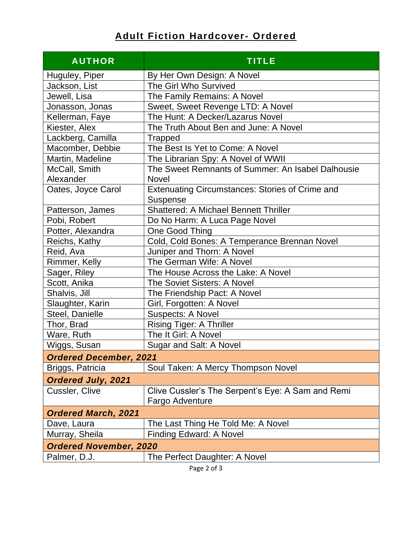## **Adult Fiction Hardcover- Ordered**

| <b>AUTHOR</b>                 | <b>TITLE</b>                                                              |  |  |
|-------------------------------|---------------------------------------------------------------------------|--|--|
| Huguley, Piper                | By Her Own Design: A Novel                                                |  |  |
| Jackson, List                 | The Girl Who Survived                                                     |  |  |
| Jewell, Lisa                  | The Family Remains: A Novel                                               |  |  |
| Jonasson, Jonas               | Sweet, Sweet Revenge LTD: A Novel                                         |  |  |
| Kellerman, Faye               | The Hunt: A Decker/Lazarus Novel                                          |  |  |
| Kiester, Alex                 | The Truth About Ben and June: A Novel                                     |  |  |
| Lackberg, Camilla             | <b>Trapped</b>                                                            |  |  |
| Macomber, Debbie              | The Best Is Yet to Come: A Novel                                          |  |  |
| Martin, Madeline              | The Librarian Spy: A Novel of WWII                                        |  |  |
| McCall, Smith                 | The Sweet Remnants of Summer: An Isabel Dalhousie                         |  |  |
| Alexander                     | <b>Novel</b>                                                              |  |  |
| Oates, Joyce Carol            | <b>Extenuating Circumstances: Stories of Crime and</b><br><b>Suspense</b> |  |  |
| Patterson, James              | <b>Shattered: A Michael Bennett Thriller</b>                              |  |  |
| Pobi, Robert                  | Do No Harm: A Luca Page Novel                                             |  |  |
| Potter, Alexandra             | One Good Thing                                                            |  |  |
| Reichs, Kathy                 | Cold, Cold Bones: A Temperance Brennan Novel                              |  |  |
| Reid, Ava                     | Juniper and Thorn: A Novel                                                |  |  |
| Rimmer, Kelly                 | The German Wife: A Novel                                                  |  |  |
| Sager, Riley                  | The House Across the Lake: A Novel                                        |  |  |
| Scott, Anika                  | The Soviet Sisters: A Novel                                               |  |  |
| Shalvis, Jill                 | The Friendship Pact: A Novel                                              |  |  |
| Slaughter, Karin              | Girl, Forgotten: A Novel                                                  |  |  |
| Steel, Danielle               | <b>Suspects: A Novel</b>                                                  |  |  |
| Thor, Brad                    | <b>Rising Tiger: A Thriller</b>                                           |  |  |
| Ware, Ruth                    | The It Girl: A Novel                                                      |  |  |
| Wiggs, Susan                  | Sugar and Salt: A Novel                                                   |  |  |
| <b>Ordered December, 2021</b> |                                                                           |  |  |
| Briggs, Patricia              | Soul Taken: A Mercy Thompson Novel                                        |  |  |
| <b>Ordered July, 2021</b>     |                                                                           |  |  |
| Cussler, Clive                | Clive Cussler's The Serpent's Eye: A Sam and Remi<br>Fargo Adventure      |  |  |
| <b>Ordered March, 2021</b>    |                                                                           |  |  |
| Dave, Laura                   | The Last Thing He Told Me: A Novel                                        |  |  |
| Murray, Sheila                | <b>Finding Edward: A Novel</b>                                            |  |  |
| <b>Ordered November, 2020</b> |                                                                           |  |  |
| Palmer, D.J.                  | The Perfect Daughter: A Novel                                             |  |  |